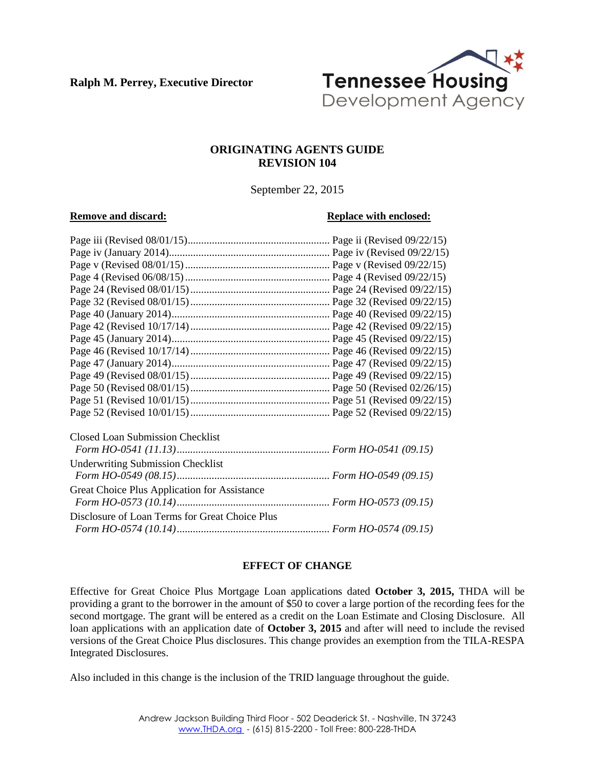**Ralph M. Perrey, Executive Director**



#### **ORIGINATING AGENTS GUIDE REVISION 104**

September 22, 2015

#### **Remove and discard: Replace with enclosed: Replace with enclosed:**

| <b>Closed Loan Submission Checklist</b>        |  |
|------------------------------------------------|--|
|                                                |  |
| <b>Underwriting Submission Checklist</b>       |  |
|                                                |  |
| Great Choice Plus Application for Assistance   |  |
|                                                |  |
| Disclosure of Loan Terms for Great Choice Plus |  |
|                                                |  |
|                                                |  |

#### **EFFECT OF CHANGE**

Effective for Great Choice Plus Mortgage Loan applications dated **October 3, 2015,** THDA will be providing a grant to the borrower in the amount of \$50 to cover a large portion of the recording fees for the second mortgage. The grant will be entered as a credit on the Loan Estimate and Closing Disclosure. All loan applications with an application date of **October 3, 2015** and after will need to include the revised versions of the Great Choice Plus disclosures. This change provides an exemption from the TILA-RESPA Integrated Disclosures.

Also included in this change is the inclusion of the TRID language throughout the guide.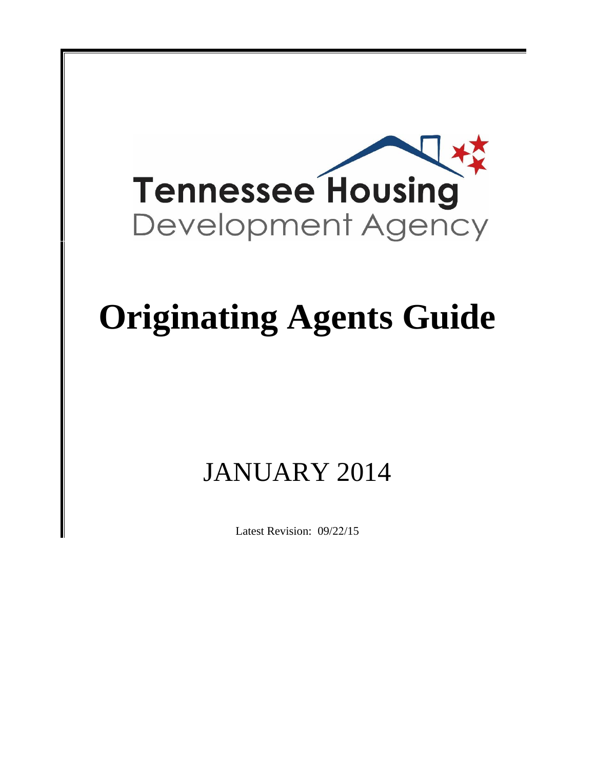

# **Originating Agents Guide**

# JANUARY 2014

Latest Revision: 09/22/15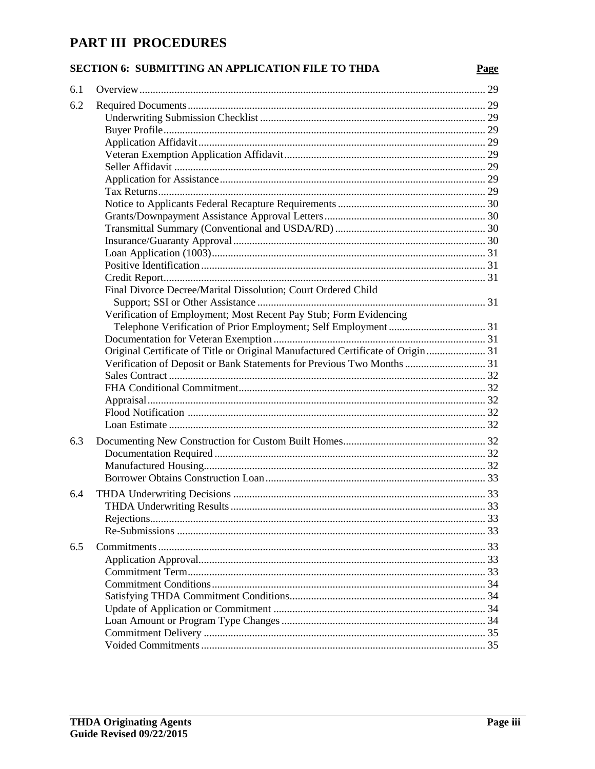# PART III PROCEDURES

## SECTION 6: SUBMITTING AN APPLICATION FILE TO THDA

| 6.1 |                                                                                 |  |
|-----|---------------------------------------------------------------------------------|--|
| 6.2 |                                                                                 |  |
|     |                                                                                 |  |
|     |                                                                                 |  |
|     |                                                                                 |  |
|     |                                                                                 |  |
|     |                                                                                 |  |
|     |                                                                                 |  |
|     |                                                                                 |  |
|     |                                                                                 |  |
|     |                                                                                 |  |
|     |                                                                                 |  |
|     |                                                                                 |  |
|     |                                                                                 |  |
|     |                                                                                 |  |
|     |                                                                                 |  |
|     | Final Divorce Decree/Marital Dissolution; Court Ordered Child                   |  |
|     |                                                                                 |  |
|     | Verification of Employment; Most Recent Pay Stub; Form Evidencing               |  |
|     |                                                                                 |  |
|     |                                                                                 |  |
|     | Original Certificate of Title or Original Manufactured Certificate of Origin 31 |  |
|     | Verification of Deposit or Bank Statements for Previous Two Months  31          |  |
|     |                                                                                 |  |
|     |                                                                                 |  |
|     |                                                                                 |  |
|     |                                                                                 |  |
|     |                                                                                 |  |
|     |                                                                                 |  |
| 6.3 |                                                                                 |  |
|     |                                                                                 |  |
|     |                                                                                 |  |
|     |                                                                                 |  |
| 6.4 |                                                                                 |  |
|     |                                                                                 |  |
|     |                                                                                 |  |
|     |                                                                                 |  |
| 6.5 |                                                                                 |  |
|     |                                                                                 |  |
|     |                                                                                 |  |
|     |                                                                                 |  |
|     |                                                                                 |  |
|     |                                                                                 |  |
|     |                                                                                 |  |
|     |                                                                                 |  |
|     |                                                                                 |  |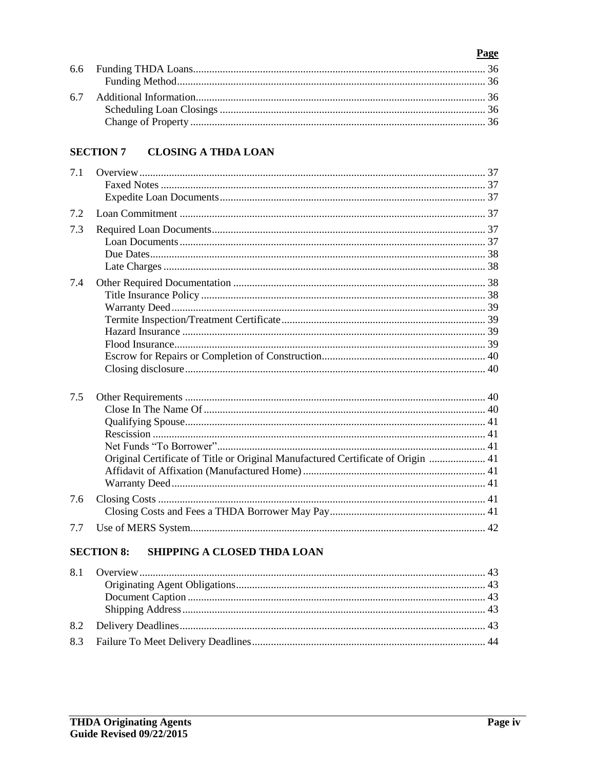#### Page 6.6 6.7

#### **CLOSING A THDA LOAN SECTION 7**

| 7.1 |                                                                                  |  |
|-----|----------------------------------------------------------------------------------|--|
| 7.2 |                                                                                  |  |
| 7.3 |                                                                                  |  |
| 7.4 |                                                                                  |  |
| 7.5 | Original Certificate of Title or Original Manufactured Certificate of Origin  41 |  |
| 7.6 |                                                                                  |  |
| 7.7 |                                                                                  |  |

#### **SECTION 8:** SHIPPING A CLOSED THDA LOAN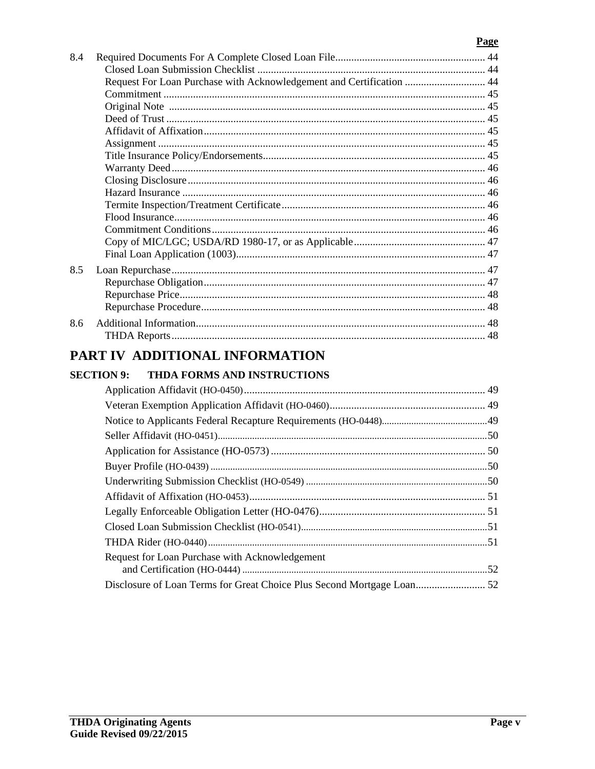## Page

| 8.4 |                                                                      |  |
|-----|----------------------------------------------------------------------|--|
|     |                                                                      |  |
|     | Request For Loan Purchase with Acknowledgement and Certification  44 |  |
|     |                                                                      |  |
|     |                                                                      |  |
|     |                                                                      |  |
|     |                                                                      |  |
|     |                                                                      |  |
|     |                                                                      |  |
|     |                                                                      |  |
|     |                                                                      |  |
|     |                                                                      |  |
|     |                                                                      |  |
|     |                                                                      |  |
|     |                                                                      |  |
|     |                                                                      |  |
|     |                                                                      |  |
| 8.5 |                                                                      |  |
|     |                                                                      |  |
|     |                                                                      |  |
|     |                                                                      |  |
| 8.6 |                                                                      |  |
|     |                                                                      |  |
|     | PART IV ADDITIONAL INFORMATION                                       |  |

#### **SECTION 9:** THDA FORMS AND INSTRUCTIONS

| Request for Loan Purchase with Acknowledgement |  |
|------------------------------------------------|--|
|                                                |  |
|                                                |  |
|                                                |  |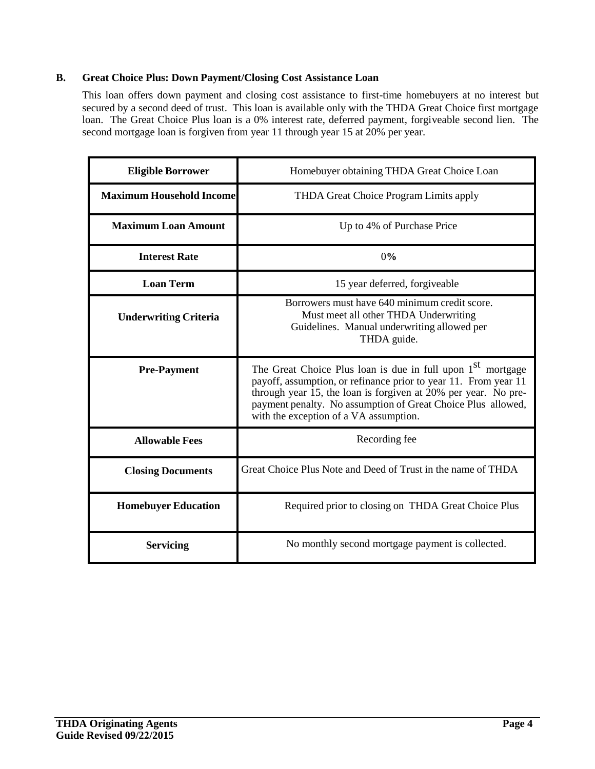#### **B. Great Choice Plus: Down Payment/Closing Cost Assistance Loan**

This loan offers down payment and closing cost assistance to first-time homebuyers at no interest but secured by a second deed of trust. This loan is available only with the THDA Great Choice first mortgage loan. The Great Choice Plus loan is a 0% interest rate, deferred payment, forgiveable second lien. The second mortgage loan is forgiven from year 11 through year 15 at 20% per year.

| <b>Eligible Borrower</b>        | Homebuyer obtaining THDA Great Choice Loan                                                                                                                                                                                                                                                                             |
|---------------------------------|------------------------------------------------------------------------------------------------------------------------------------------------------------------------------------------------------------------------------------------------------------------------------------------------------------------------|
| <b>Maximum Household Income</b> | THDA Great Choice Program Limits apply                                                                                                                                                                                                                                                                                 |
| <b>Maximum Loan Amount</b>      | Up to 4% of Purchase Price                                                                                                                                                                                                                                                                                             |
| <b>Interest Rate</b>            | 0%                                                                                                                                                                                                                                                                                                                     |
| <b>Loan Term</b>                | 15 year deferred, forgiveable                                                                                                                                                                                                                                                                                          |
| <b>Underwriting Criteria</b>    | Borrowers must have 640 minimum credit score.<br>Must meet all other THDA Underwriting<br>Guidelines. Manual underwriting allowed per<br>THDA guide.                                                                                                                                                                   |
| <b>Pre-Payment</b>              | The Great Choice Plus loan is due in full upon 1 <sup>st</sup> mortgage<br>payoff, assumption, or refinance prior to year 11. From year 11<br>through year 15, the loan is forgiven at 20% per year. No pre-<br>payment penalty. No assumption of Great Choice Plus allowed,<br>with the exception of a VA assumption. |
| <b>Allowable Fees</b>           | Recording fee                                                                                                                                                                                                                                                                                                          |
| <b>Closing Documents</b>        | Great Choice Plus Note and Deed of Trust in the name of THDA                                                                                                                                                                                                                                                           |
| <b>Homebuyer Education</b>      | Required prior to closing on THDA Great Choice Plus                                                                                                                                                                                                                                                                    |
| <b>Servicing</b>                | No monthly second mortgage payment is collected.                                                                                                                                                                                                                                                                       |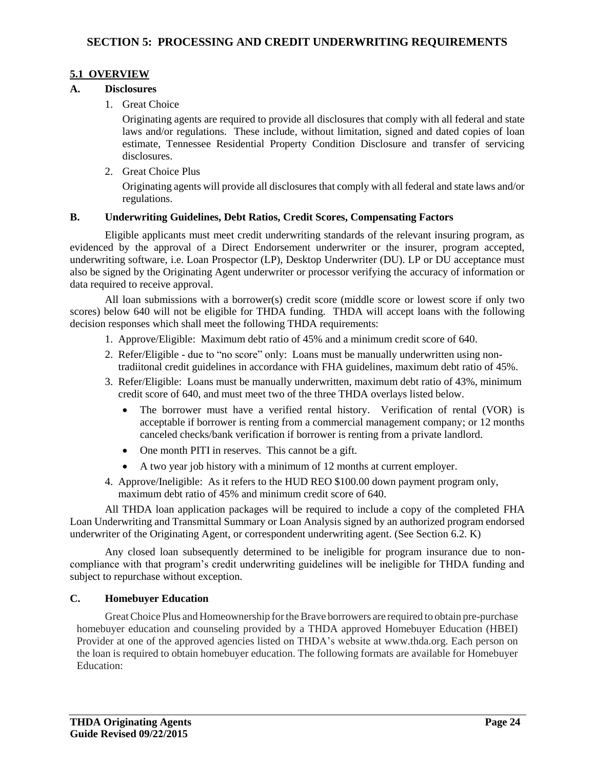#### **5.1 OVERVIEW**

#### **A. Disclosures**

1. Great Choice

Originating agents are required to provide all disclosures that comply with all federal and state laws and/or regulations. These include, without limitation, signed and dated copies of loan estimate, Tennessee Residential Property Condition Disclosure and transfer of servicing disclosures.

2. Great Choice Plus

Originating agents will provide all disclosures that comply with all federal and state laws and/or regulations.

#### **B. Underwriting Guidelines, Debt Ratios, Credit Scores, Compensating Factors**

Eligible applicants must meet credit underwriting standards of the relevant insuring program, as evidenced by the approval of a Direct Endorsement underwriter or the insurer, program accepted, underwriting software, i.e. Loan Prospector (LP), Desktop Underwriter (DU). LP or DU acceptance must also be signed by the Originating Agent underwriter or processor verifying the accuracy of information or data required to receive approval.

All loan submissions with a borrower(s) credit score (middle score or lowest score if only two scores) below 640 will not be eligible for THDA funding. THDA will accept loans with the following decision responses which shall meet the following THDA requirements:

- 1. Approve/Eligible: Maximum debt ratio of 45% and a minimum credit score of 640.
- 2. Refer/Eligible due to "no score" only: Loans must be manually underwritten using non tradiitonal credit guidelines in accordance with FHA guidelines, maximum debt ratio of 45%.
- 3. Refer/Eligible: Loans must be manually underwritten, maximum debt ratio of 43%, minimum credit score of 640, and must meet two of the three THDA overlays listed below.
	- The borrower must have a verified rental history. Verification of rental (VOR) is acceptable if borrower is renting from a commercial management company; or 12 months canceled checks/bank verification if borrower is renting from a private landlord.
	- One month PITI in reserves. This cannot be a gift.
	- A two year job history with a minimum of 12 months at current employer.
- 4. Approve/Ineligible: As it refers to the HUD REO \$100.00 down payment program only, maximum debt ratio of 45% and minimum credit score of 640.

All THDA loan application packages will be required to include a copy of the completed FHA Loan Underwriting and Transmittal Summary or Loan Analysis signed by an authorized program endorsed underwriter of the Originating Agent, or correspondent underwriting agent. (See Section 6.2. K)

Any closed loan subsequently determined to be ineligible for program insurance due to noncompliance with that program's credit underwriting guidelines will be ineligible for THDA funding and subject to repurchase without exception.

#### **C. Homebuyer Education**

Great Choice Plus and Homeownership for the Brave borrowers are required to obtain pre-purchase homebuyer education and counseling provided by a THDA approved Homebuyer Education (HBEI) Provider at one of the approved agencies listed on THDA's website at [www.thda.org.](http://www.thda.org/) Each person on the loan is required to obtain homebuyer education. The following formats are available for Homebuyer Education: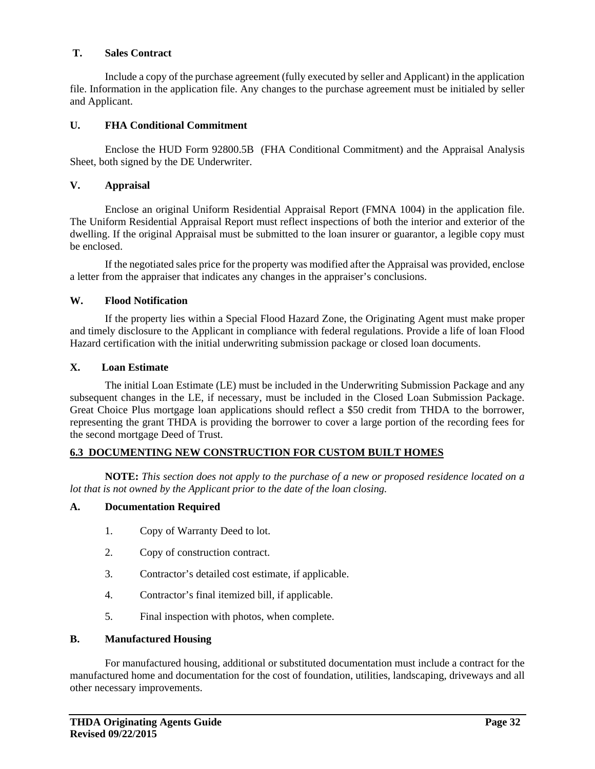#### **T. Sales Contract**

Include a copy of the purchase agreement (fully executed by seller and Applicant) in the application file. Information in the application file. Any changes to the purchase agreement must be initialed by seller and Applicant.

#### **U. FHA Conditional Commitment**

Enclose the HUD Form 92800.5B (FHA Conditional Commitment) and the Appraisal Analysis Sheet, both signed by the DE Underwriter.

#### **V. Appraisal**

Enclose an original Uniform Residential Appraisal Report (FMNA 1004) in the application file. The Uniform Residential Appraisal Report must reflect inspections of both the interior and exterior of the dwelling. If the original Appraisal must be submitted to the loan insurer or guarantor, a legible copy must be enclosed.

If the negotiated sales price for the property was modified after the Appraisal was provided, enclose a letter from the appraiser that indicates any changes in the appraiser's conclusions.

#### **W. Flood Notification**

If the property lies within a Special Flood Hazard Zone, the Originating Agent must make proper and timely disclosure to the Applicant in compliance with federal regulations. Provide a life of loan Flood Hazard certification with the initial underwriting submission package or closed loan documents.

#### **X. Loan Estimate**

 The initial Loan Estimate (LE) must be included in the Underwriting Submission Package and any subsequent changes in the LE, if necessary, must be included in the Closed Loan Submission Package. Great Choice Plus mortgage loan applications should reflect a \$50 credit from THDA to the borrower, representing the grant THDA is providing the borrower to cover a large portion of the recording fees for the second mortgage Deed of Trust.

#### **6.3 DOCUMENTING NEW CONSTRUCTION FOR CUSTOM BUILT HOMES**

**NOTE:** *This section does not apply to the purchase of a new or proposed residence located on a lot that is not owned by the Applicant prior to the date of the loan closing.* 

#### **A. Documentation Required**

- 1. Copy of Warranty Deed to lot.
- 2. Copy of construction contract.
- 3. Contractor's detailed cost estimate, if applicable.
- 4. Contractor's final itemized bill, if applicable.
- 5. Final inspection with photos, when complete.

#### **B. Manufactured Housing**

For manufactured housing, additional or substituted documentation must include a contract for the manufactured home and documentation for the cost of foundation, utilities, landscaping, driveways and all other necessary improvements.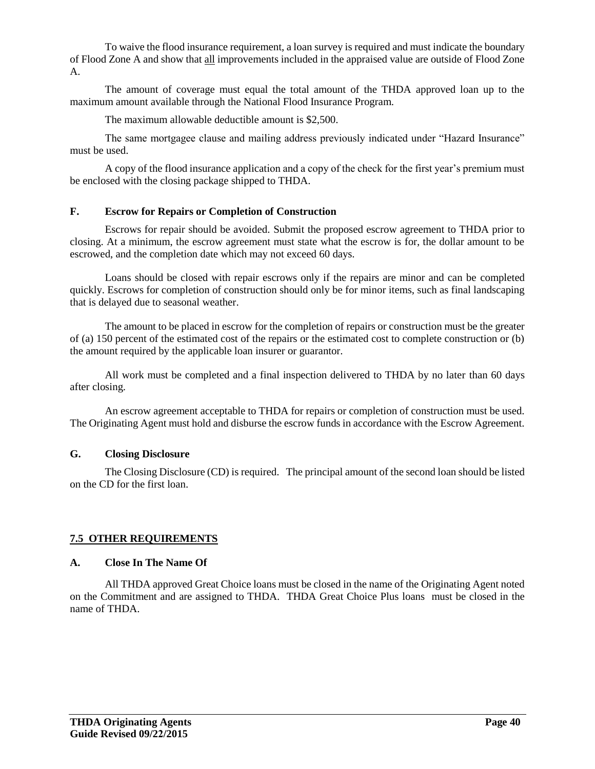To waive the flood insurance requirement, a loan survey is required and must indicate the boundary of Flood Zone A and show that all improvements included in the appraised value are outside of Flood Zone A.

The amount of coverage must equal the total amount of the THDA approved loan up to the maximum amount available through the National Flood Insurance Program.

The maximum allowable deductible amount is \$2,500.

The same mortgagee clause and mailing address previously indicated under "Hazard Insurance" must be used.

A copy of the flood insurance application and a copy of the check for the first year's premium must be enclosed with the closing package shipped to THDA.

#### **F. Escrow for Repairs or Completion of Construction**

Escrows for repair should be avoided. Submit the proposed escrow agreement to THDA prior to closing. At a minimum, the escrow agreement must state what the escrow is for, the dollar amount to be escrowed, and the completion date which may not exceed 60 days.

Loans should be closed with repair escrows only if the repairs are minor and can be completed quickly. Escrows for completion of construction should only be for minor items, such as final landscaping that is delayed due to seasonal weather.

The amount to be placed in escrow for the completion of repairs or construction must be the greater of (a) 150 percent of the estimated cost of the repairs or the estimated cost to complete construction or (b) the amount required by the applicable loan insurer or guarantor.

All work must be completed and a final inspection delivered to THDA by no later than 60 days after closing.

An escrow agreement acceptable to THDA for repairs or completion of construction must be used. The Originating Agent must hold and disburse the escrow funds in accordance with the Escrow Agreement.

#### **G. Closing Disclosure**

The Closing Disclosure (CD) is required. The principal amount of the second loan should be listed on the CD for the first loan.

#### **7.5 OTHER REQUIREMENTS**

#### **A. Close In The Name Of**

All THDA approved Great Choice loans must be closed in the name of the Originating Agent noted on the Commitment and are assigned to THDA. THDA Great Choice Plus loans must be closed in the name of THDA.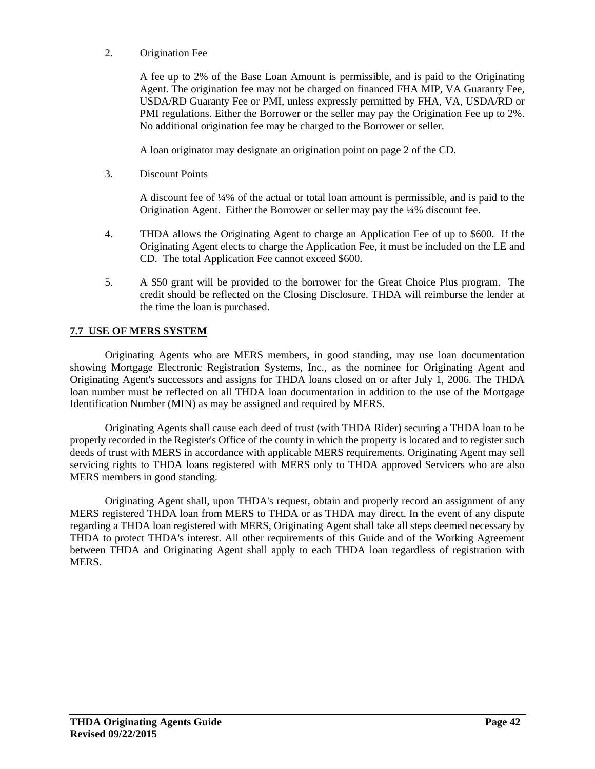2. Origination Fee

A fee up to 2% of the Base Loan Amount is permissible, and is paid to the Originating Agent. The origination fee may not be charged on financed FHA MIP, VA Guaranty Fee, USDA/RD Guaranty Fee or PMI, unless expressly permitted by FHA, VA, USDA/RD or PMI regulations. Either the Borrower or the seller may pay the Origination Fee up to 2%. No additional origination fee may be charged to the Borrower or seller.

A loan originator may designate an origination point on page 2 of the CD.

3. Discount Points

A discount fee of ¼% of the actual or total loan amount is permissible, and is paid to the Origination Agent. Either the Borrower or seller may pay the ¼% discount fee.

- 4. THDA allows the Originating Agent to charge an Application Fee of up to \$600. If the Originating Agent elects to charge the Application Fee, it must be included on the LE and CD. The total Application Fee cannot exceed \$600.
- 5. A \$50 grant will be provided to the borrower for the Great Choice Plus program. The credit should be reflected on the Closing Disclosure. THDA will reimburse the lender at the time the loan is purchased.

#### **7.7 USE OF MERS SYSTEM**

Originating Agents who are MERS members, in good standing, may use loan documentation showing Mortgage Electronic Registration Systems, Inc., as the nominee for Originating Agent and Originating Agent's successors and assigns for THDA loans closed on or after July 1, 2006. The THDA loan number must be reflected on all THDA loan documentation in addition to the use of the Mortgage Identification Number (MIN) as may be assigned and required by MERS.

Originating Agents shall cause each deed of trust (with THDA Rider) securing a THDA loan to be properly recorded in the Register's Office of the county in which the property is located and to register such deeds of trust with MERS in accordance with applicable MERS requirements. Originating Agent may sell servicing rights to THDA loans registered with MERS only to THDA approved Servicers who are also MERS members in good standing.

Originating Agent shall, upon THDA's request, obtain and properly record an assignment of any MERS registered THDA loan from MERS to THDA or as THDA may direct. In the event of any dispute regarding a THDA loan registered with MERS, Originating Agent shall take all steps deemed necessary by THDA to protect THDA's interest. All other requirements of this Guide and of the Working Agreement between THDA and Originating Agent shall apply to each THDA loan regardless of registration with MERS.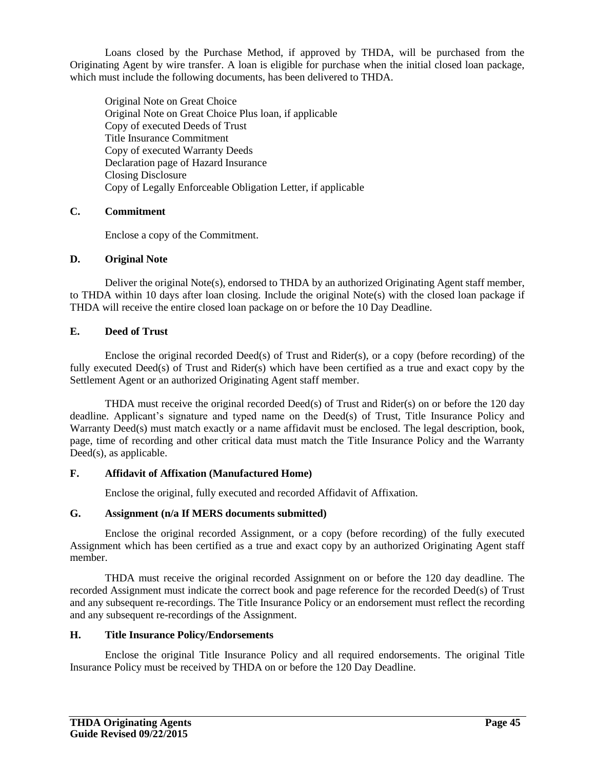Loans closed by the Purchase Method, if approved by THDA, will be purchased from the Originating Agent by wire transfer. A loan is eligible for purchase when the initial closed loan package, which must include the following documents, has been delivered to THDA.

Original Note on Great Choice Original Note on Great Choice Plus loan, if applicable Copy of executed Deeds of Trust Title Insurance Commitment Copy of executed Warranty Deeds Declaration page of Hazard Insurance Closing Disclosure Copy of Legally Enforceable Obligation Letter, if applicable

#### **C. Commitment**

Enclose a copy of the Commitment.

#### **D. Original Note**

Deliver the original Note(s), endorsed to THDA by an authorized Originating Agent staff member, to THDA within 10 days after loan closing. Include the original Note(s) with the closed loan package if THDA will receive the entire closed loan package on or before the 10 Day Deadline.

#### **E. Deed of Trust**

Enclose the original recorded Deed(s) of Trust and Rider(s), or a copy (before recording) of the fully executed Deed(s) of Trust and Rider(s) which have been certified as a true and exact copy by the Settlement Agent or an authorized Originating Agent staff member.

THDA must receive the original recorded Deed(s) of Trust and Rider(s) on or before the 120 day deadline. Applicant's signature and typed name on the Deed(s) of Trust, Title Insurance Policy and Warranty Deed(s) must match exactly or a name affidavit must be enclosed. The legal description, book, page, time of recording and other critical data must match the Title Insurance Policy and the Warranty Deed(s), as applicable.

#### **F. Affidavit of Affixation (Manufactured Home)**

Enclose the original, fully executed and recorded Affidavit of Affixation.

#### **G. Assignment (n/a If MERS documents submitted)**

Enclose the original recorded Assignment, or a copy (before recording) of the fully executed Assignment which has been certified as a true and exact copy by an authorized Originating Agent staff member.

THDA must receive the original recorded Assignment on or before the 120 day deadline. The recorded Assignment must indicate the correct book and page reference for the recorded Deed(s) of Trust and any subsequent re-recordings. The Title Insurance Policy or an endorsement must reflect the recording and any subsequent re-recordings of the Assignment.

#### **H. Title Insurance Policy/Endorsements**

Enclose the original Title Insurance Policy and all required endorsements. The original Title Insurance Policy must be received by THDA on or before the 120 Day Deadline.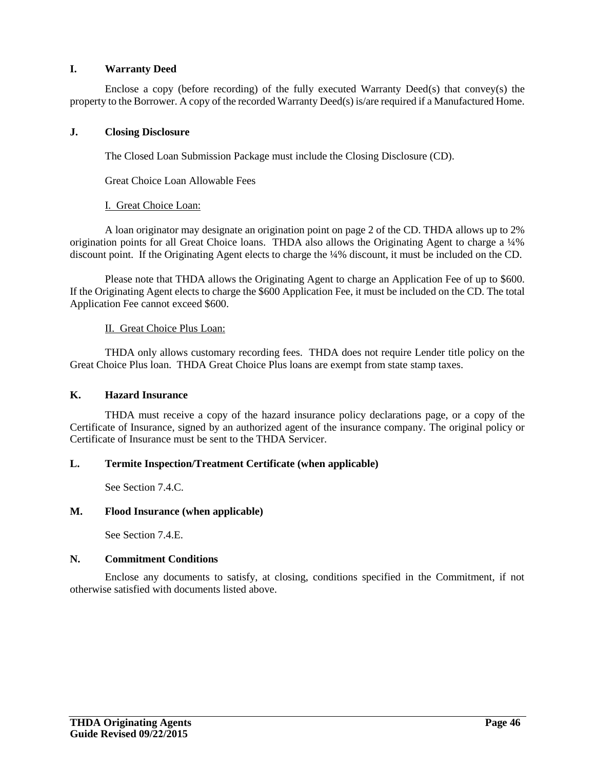#### **I. Warranty Deed**

Enclose a copy (before recording) of the fully executed Warranty Deed(s) that convey(s) the property to the Borrower. A copy of the recorded Warranty Deed(s) is/are required if a Manufactured Home.

#### **J. Closing Disclosure**

The Closed Loan Submission Package must include the Closing Disclosure (CD).

Great Choice Loan Allowable Fees

#### I. Great Choice Loan:

A loan originator may designate an origination point on page 2 of the CD. THDA allows up to 2% origination points for all Great Choice loans. THDA also allows the Originating Agent to charge a ¼% discount point. If the Originating Agent elects to charge the ¼% discount, it must be included on the CD.

Please note that THDA allows the Originating Agent to charge an Application Fee of up to \$600. If the Originating Agent elects to charge the \$600 Application Fee, it must be included on the CD. The total Application Fee cannot exceed \$600.

#### II. Great Choice Plus Loan:

THDA only allows customary recording fees. THDA does not require Lender title policy on the Great Choice Plus loan. THDA Great Choice Plus loans are exempt from state stamp taxes.

#### **K. Hazard Insurance**

THDA must receive a copy of the hazard insurance policy declarations page, or a copy of the Certificate of Insurance, signed by an authorized agent of the insurance company. The original policy or Certificate of Insurance must be sent to the THDA Servicer.

#### **L. Termite Inspection/Treatment Certificate (when applicable)**

See Section 7.4.C.

#### **M. Flood Insurance (when applicable)**

See Section 7.4.E.

#### **N. Commitment Conditions**

Enclose any documents to satisfy, at closing, conditions specified in the Commitment, if not otherwise satisfied with documents listed above.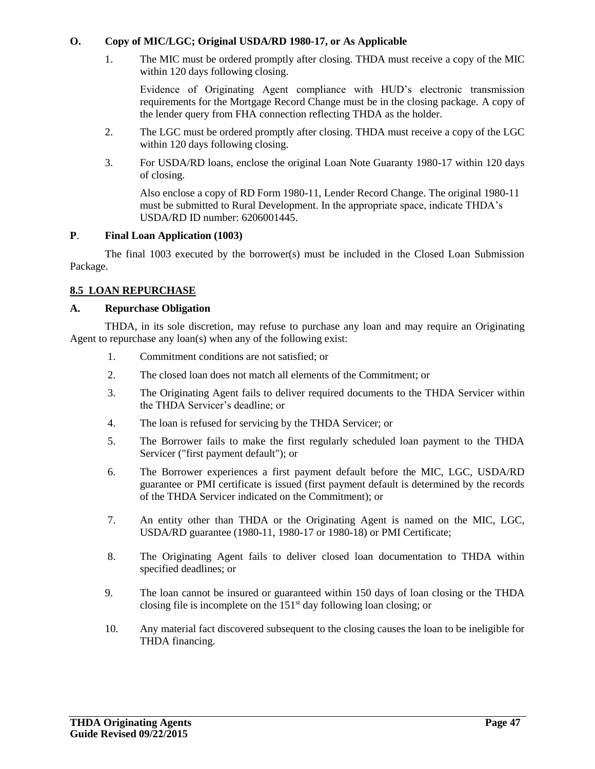#### **O. Copy of MIC/LGC; Original USDA/RD 1980-17, or As Applicable**

1. The MIC must be ordered promptly after closing. THDA must receive a copy of the MIC within 120 days following closing.

Evidence of Originating Agent compliance with HUD's electronic transmission requirements for the Mortgage Record Change must be in the closing package. A copy of the lender query from FHA connection reflecting THDA as the holder.

- 2. The LGC must be ordered promptly after closing. THDA must receive a copy of the LGC within 120 days following closing.
- 3. For USDA/RD loans, enclose the original Loan Note Guaranty 1980-17 within 120 days of closing.

Also enclose a copy of RD Form 1980-11, Lender Record Change. The original 1980-11 must be submitted to Rural Development. In the appropriate space, indicate THDA's USDA/RD ID number: 6206001445.

#### **P**. **Final Loan Application (1003)**

The final 1003 executed by the borrower(s) must be included in the Closed Loan Submission Package.

#### **8.5 LOAN REPURCHASE**

#### **A. Repurchase Obligation**

THDA, in its sole discretion, may refuse to purchase any loan and may require an Originating Agent to repurchase any loan(s) when any of the following exist:

- 1. Commitment conditions are not satisfied; or
- 2. The closed loan does not match all elements of the Commitment; or
- 3. The Originating Agent fails to deliver required documents to the THDA Servicer within the THDA Servicer's deadline; or
- 4. The loan is refused for servicing by the THDA Servicer; or
- 5. The Borrower fails to make the first regularly scheduled loan payment to the THDA Servicer ("first payment default"); or
- 6. The Borrower experiences a first payment default before the MIC, LGC, USDA/RD guarantee or PMI certificate is issued (first payment default is determined by the records of the THDA Servicer indicated on the Commitment); or
- 7. An entity other than THDA or the Originating Agent is named on the MIC, LGC, USDA/RD guarantee (1980-11, 1980-17 or 1980-18) or PMI Certificate;
- 8. The Originating Agent fails to deliver closed loan documentation to THDA within specified deadlines; or
- 9. The loan cannot be insured or guaranteed within 150 days of loan closing or the THDA closing file is incomplete on the  $151<sup>st</sup>$  day following loan closing; or
- 10. Any material fact discovered subsequent to the closing causes the loan to be ineligible for THDA financing.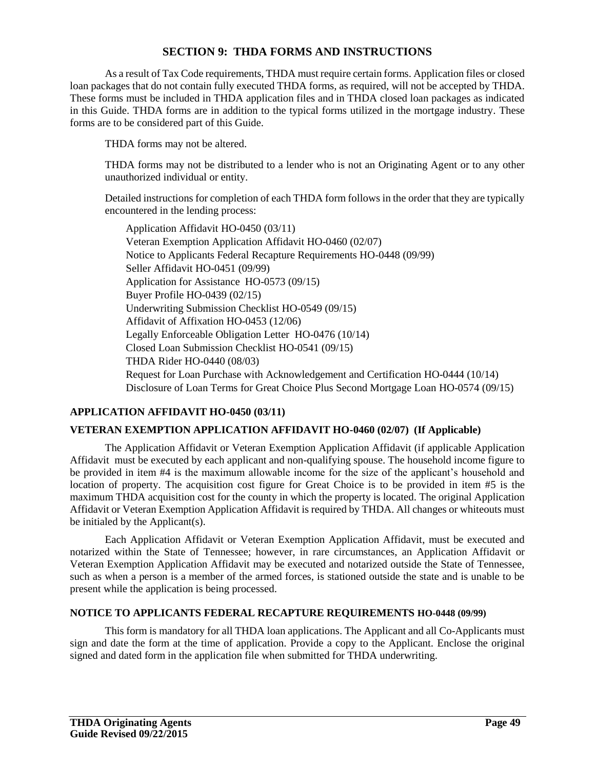#### **SECTION 9: THDA FORMS AND INSTRUCTIONS**

As a result of Tax Code requirements, THDA must require certain forms. Application files or closed loan packages that do not contain fully executed THDA forms, as required, will not be accepted by THDA. These forms must be included in THDA application files and in THDA closed loan packages as indicated in this Guide. THDA forms are in addition to the typical forms utilized in the mortgage industry. These forms are to be considered part of this Guide.

THDA forms may not be altered.

THDA forms may not be distributed to a lender who is not an Originating Agent or to any other unauthorized individual or entity.

Detailed instructions for completion of each THDA form follows in the order that they are typically encountered in the lending process:

Application Affidavit HO-0450 (03/11) Veteran Exemption Application Affidavit HO-0460 (02/07) Notice to Applicants Federal Recapture Requirements HO-0448 (09/99) Seller Affidavit HO-0451 (09/99) Application for Assistance HO-0573 (09/15) Buyer Profile HO-0439 (02/15) Underwriting Submission Checklist HO-0549 (09/15) Affidavit of Affixation HO-0453 (12/06) Legally Enforceable Obligation Letter HO-0476 (10/14) Closed Loan Submission Checklist HO-0541 (09/15) THDA Rider HO-0440 (08/03) Request for Loan Purchase with Acknowledgement and Certification HO-0444 (10/14) Disclosure of Loan Terms for Great Choice Plus Second Mortgage Loan HO-0574 (09/15)

### **APPLICATION AFFIDAVIT HO-0450 (03/11)**

#### **VETERAN EXEMPTION APPLICATION AFFIDAVIT HO-0460 (02/07) (If Applicable)**

The Application Affidavit or Veteran Exemption Application Affidavit (if applicable Application Affidavit must be executed by each applicant and non-qualifying spouse. The household income figure to be provided in item #4 is the maximum allowable income for the size of the applicant's household and location of property. The acquisition cost figure for Great Choice is to be provided in item #5 is the maximum THDA acquisition cost for the county in which the property is located. The original Application Affidavit or Veteran Exemption Application Affidavit is required by THDA. All changes or whiteouts must be initialed by the Applicant(s).

Each Application Affidavit or Veteran Exemption Application Affidavit, must be executed and notarized within the State of Tennessee; however, in rare circumstances, an Application Affidavit or Veteran Exemption Application Affidavit may be executed and notarized outside the State of Tennessee, such as when a person is a member of the armed forces, is stationed outside the state and is unable to be present while the application is being processed.

#### **NOTICE TO APPLICANTS FEDERAL RECAPTURE REQUIREMENTS HO-0448 (09/99)**

This form is mandatory for all THDA loan applications. The Applicant and all Co-Applicants must sign and date the form at the time of application. Provide a copy to the Applicant. Enclose the original signed and dated form in the application file when submitted for THDA underwriting.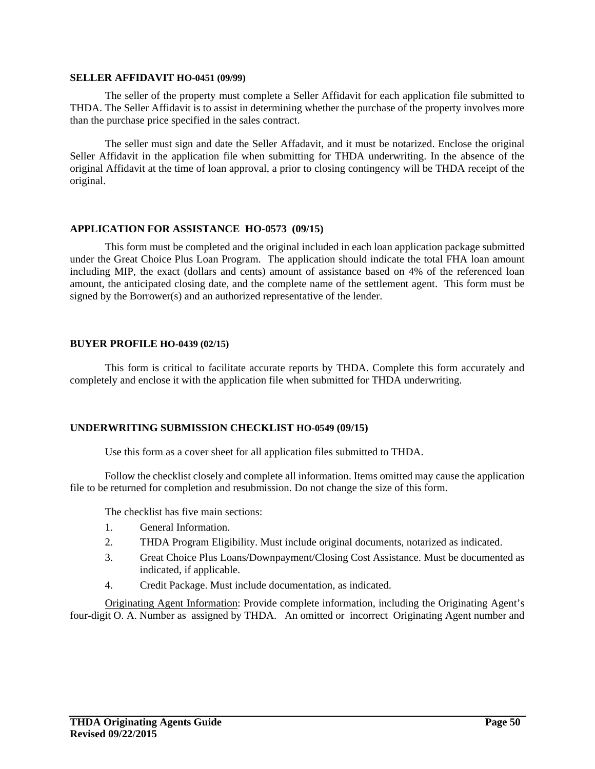#### **SELLER AFFIDAVIT HO-0451 (09/99)**

The seller of the property must complete a Seller Affidavit for each application file submitted to THDA. The Seller Affidavit is to assist in determining whether the purchase of the property involves more than the purchase price specified in the sales contract.

The seller must sign and date the Seller Affadavit, and it must be notarized. Enclose the original Seller Affidavit in the application file when submitting for THDA underwriting. In the absence of the original Affidavit at the time of loan approval, a prior to closing contingency will be THDA receipt of the original.

#### **APPLICATION FOR ASSISTANCE HO-0573 (09/15)**

This form must be completed and the original included in each loan application package submitted under the Great Choice Plus Loan Program. The application should indicate the total FHA loan amount including MIP, the exact (dollars and cents) amount of assistance based on 4% of the referenced loan amount, the anticipated closing date, and the complete name of the settlement agent. This form must be signed by the Borrower(s) and an authorized representative of the lender.

#### **BUYER PROFILE HO-0439 (02/15)**

This form is critical to facilitate accurate reports by THDA. Complete this form accurately and completely and enclose it with the application file when submitted for THDA underwriting.

#### **UNDERWRITING SUBMISSION CHECKLIST HO-0549 (09/15)**

Use this form as a cover sheet for all application files submitted to THDA.

Follow the checklist closely and complete all information. Items omitted may cause the application file to be returned for completion and resubmission. Do not change the size of this form.

The checklist has five main sections:

- 1. General Information.
- 2. THDA Program Eligibility. Must include original documents, notarized as indicated.
- 3. Great Choice Plus Loans/Downpayment/Closing Cost Assistance. Must be documented as indicated, if applicable.
- 4. Credit Package. Must include documentation, as indicated.

Originating Agent Information: Provide complete information, including the Originating Agent's four-digit O. A. Number as assigned by THDA. An omitted or incorrect Originating Agent number and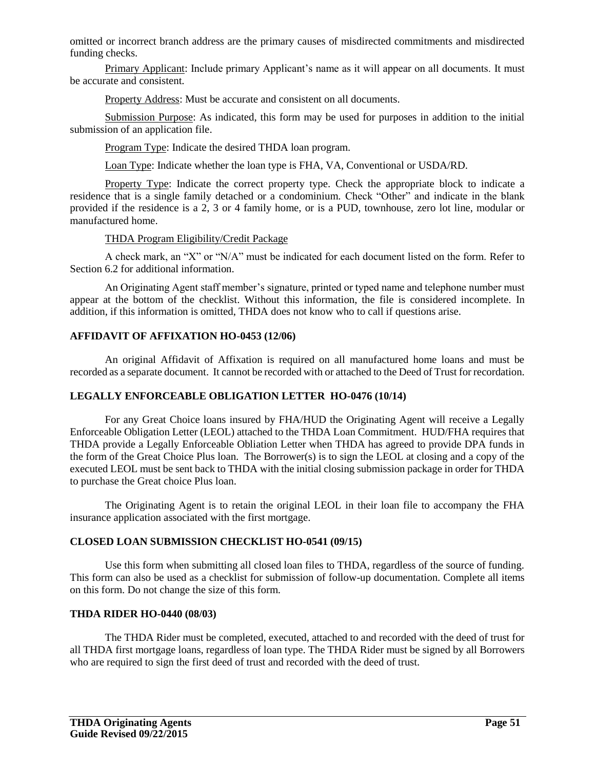omitted or incorrect branch address are the primary causes of misdirected commitments and misdirected funding checks.

Primary Applicant: Include primary Applicant's name as it will appear on all documents. It must be accurate and consistent.

Property Address: Must be accurate and consistent on all documents.

Submission Purpose: As indicated, this form may be used for purposes in addition to the initial submission of an application file.

Program Type: Indicate the desired THDA loan program.

Loan Type: Indicate whether the loan type is FHA, VA, Conventional or USDA/RD.

Property Type: Indicate the correct property type. Check the appropriate block to indicate a residence that is a single family detached or a condominium. Check "Other" and indicate in the blank provided if the residence is a 2, 3 or 4 family home, or is a PUD, townhouse, zero lot line, modular or manufactured home.

#### THDA Program Eligibility/Credit Package

A check mark, an "X" or "N/A" must be indicated for each document listed on the form. Refer to Section 6.2 for additional information.

An Originating Agent staff member's signature, printed or typed name and telephone number must appear at the bottom of the checklist. Without this information, the file is considered incomplete. In addition, if this information is omitted, THDA does not know who to call if questions arise.

#### **AFFIDAVIT OF AFFIXATION HO-0453 (12/06)**

An original Affidavit of Affixation is required on all manufactured home loans and must be recorded as a separate document. It cannot be recorded with or attached to the Deed of Trust for recordation.

#### **LEGALLY ENFORCEABLE OBLIGATION LETTER HO-0476 (10/14)**

For any Great Choice loans insured by FHA/HUD the Originating Agent will receive a Legally Enforceable Obligation Letter (LEOL) attached to the THDA Loan Commitment. HUD/FHA requires that THDA provide a Legally Enforceable Obliation Letter when THDA has agreed to provide DPA funds in the form of the Great Choice Plus loan. The Borrower(s) is to sign the LEOL at closing and a copy of the executed LEOL must be sent back to THDA with the initial closing submission package in order for THDA to purchase the Great choice Plus loan.

The Originating Agent is to retain the original LEOL in their loan file to accompany the FHA insurance application associated with the first mortgage.

#### **CLOSED LOAN SUBMISSION CHECKLIST HO-0541 (09/15)**

Use this form when submitting all closed loan files to THDA, regardless of the source of funding. This form can also be used as a checklist for submission of follow-up documentation. Complete all items on this form. Do not change the size of this form.

#### **THDA RIDER HO-0440 (08/03)**

The THDA Rider must be completed, executed, attached to and recorded with the deed of trust for all THDA first mortgage loans, regardless of loan type. The THDA Rider must be signed by all Borrowers who are required to sign the first deed of trust and recorded with the deed of trust.